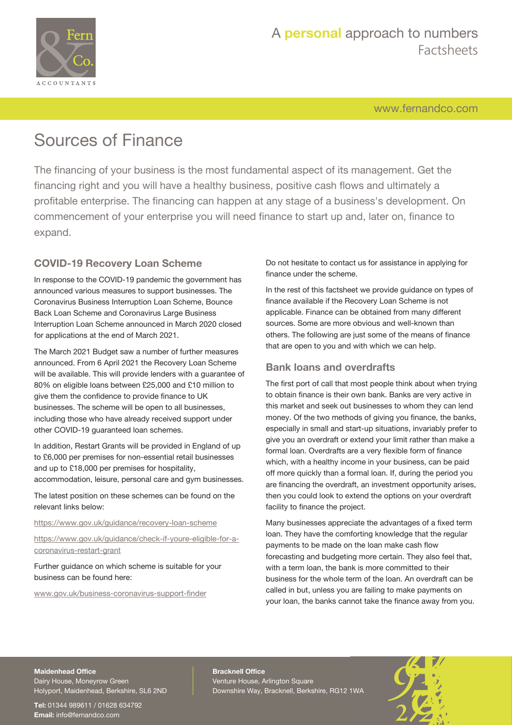

## A **personal** approach to numbers Factsheets

[www.fernandco.com](http://www.fernandco.com)

# Sources of Finance

The financing of your business is the most fundamental aspect of its management. Get the financing right and you will have a healthy business, positive cash flows and ultimately a profitable enterprise. The financing can happen at any stage of a business's development. On commencement of your enterprise you will need finance to start up and, later on, finance to expand.

### **COVID-19 Recovery Loan Scheme**

In response to the COVID-19 pandemic the government has announced various measures to support businesses. The Coronavirus Business Interruption Loan Scheme, Bounce Back Loan Scheme and Coronavirus Large Business Interruption Loan Scheme announced in March 2020 closed for applications at the end of March 2021.

The March 2021 Budget saw a number of further measures announced. From 6 April 2021 the Recovery Loan Scheme will be available. This will provide lenders with a guarantee of 80% on eligible loans between £25,000 and £10 million to give them the confidence to provide finance to UK businesses. The scheme will be open to all businesses, including those who have already received support under other COVID-19 guaranteed loan schemes.

In addition, Restart Grants will be provided in England of up to £6,000 per premises for non-essential retail businesses and up to £18,000 per premises for hospitality, accommodation, leisure, personal care and gym businesses.

The latest position on these schemes can be found on the relevant links below:

#### <https://www.gov.uk/guidance/recovery-loan-scheme>

[https://www.gov.uk/guidance/check-if-youre-eligible-for-a](https://www.gov.uk/guidance/check-if-youre-eligible-for-a-coronavirus-restart-grant)[coronavirus-restart-grant](https://www.gov.uk/guidance/check-if-youre-eligible-for-a-coronavirus-restart-grant)

Further guidance on which scheme is suitable for your business can be found here:

[www.gov.uk/business-coronavirus-support-finder](https://www.gov.uk/business-coronavirus-support-finder)

Do not hesitate to contact us for assistance in applying for finance under the scheme.

In the rest of this factsheet we provide guidance on types of finance available if the Recovery Loan Scheme is not applicable. Finance can be obtained from many different sources. Some are more obvious and well-known than others. The following are just some of the means of finance that are open to you and with which we can help.

### **Bank loans and overdrafts**

The first port of call that most people think about when trying to obtain finance is their own bank. Banks are very active in this market and seek out businesses to whom they can lend money. Of the two methods of giving you finance, the banks, especially in small and start-up situations, invariably prefer to give you an overdraft or extend your limit rather than make a formal loan. Overdrafts are a very flexible form of finance which, with a healthy income in your business, can be paid off more quickly than a formal loan. If, during the period you are financing the overdraft, an investment opportunity arises, then you could look to extend the options on your overdraft facility to finance the project.

Many businesses appreciate the advantages of a fixed term loan. They have the comforting knowledge that the regular payments to be made on the loan make cash flow forecasting and budgeting more certain. They also feel that, with a term loan, the bank is more committed to their business for the whole term of the loan. An overdraft can be called in but, unless you are failing to make payments on your loan, the banks cannot take the finance away from you.

#### **Maidenhead Office**

Dairy House, Moneyrow Green Holyport, Maidenhead, Berkshire, SL6 2ND

**Tel:** 01344 989611 / 01628 634792 **Email:** [info@fernandco.com](mailto:info@fernandco.com)

**Bracknell Office** Venture House, Arlington Square Downshire Way, Bracknell, Berkshire, RG12 1WA

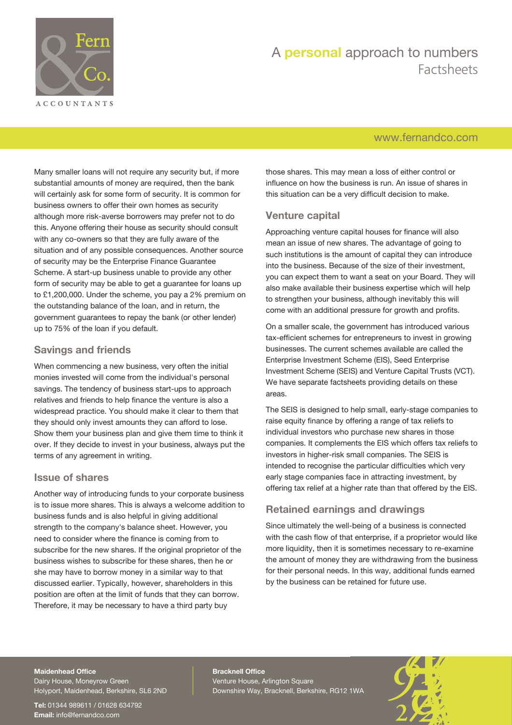

## A **personal** approach to numbers Factsheets

### [www.fernandco.com](http://www.fernandco.com)

Many smaller loans will not require any security but, if more substantial amounts of money are required, then the bank will certainly ask for some form of security. It is common for business owners to offer their own homes as security although more risk-averse borrowers may prefer not to do this. Anyone offering their house as security should consult with any co-owners so that they are fully aware of the situation and of any possible consequences. Another source of security may be the Enterprise Finance Guarantee Scheme. A start-up business unable to provide any other form of security may be able to get a guarantee for loans up to £1,200,000. Under the scheme, you pay a 2% premium on the outstanding balance of the loan, and in return, the government guarantees to repay the bank (or other lender) up to 75% of the loan if you default.

### **Savings and friends**

When commencing a new business, very often the initial monies invested will come from the individual's personal savings. The tendency of business start-ups to approach relatives and friends to help finance the venture is also a widespread practice. You should make it clear to them that they should only invest amounts they can afford to lose. Show them your business plan and give them time to think it over. If they decide to invest in your business, always put the terms of any agreement in writing.

### **Issue of shares**

Another way of introducing funds to your corporate business is to issue more shares. This is always a welcome addition to business funds and is also helpful in giving additional strength to the company's balance sheet. However, you need to consider where the finance is coming from to subscribe for the new shares. If the original proprietor of the business wishes to subscribe for these shares, then he or she may have to borrow money in a similar way to that discussed earlier. Typically, however, shareholders in this position are often at the limit of funds that they can borrow. Therefore, it may be necessary to have a third party buy

those shares. This may mean a loss of either control or influence on how the business is run. An issue of shares in this situation can be a very difficult decision to make.

### **Venture capital**

Approaching venture capital houses for finance will also mean an issue of new shares. The advantage of going to such institutions is the amount of capital they can introduce into the business. Because of the size of their investment, you can expect them to want a seat on your Board. They will also make available their business expertise which will help to strengthen your business, although inevitably this will come with an additional pressure for growth and profits.

On a smaller scale, the government has introduced various tax-efficient schemes for entrepreneurs to invest in growing businesses. The current schemes available are called the Enterprise Investment Scheme (EIS), Seed Enterprise Investment Scheme (SEIS) and Venture Capital Trusts (VCT). We have separate factsheets providing details on these areas.

The SEIS is designed to help small, early-stage companies to raise equity finance by offering a range of tax reliefs to individual investors who purchase new shares in those companies. It complements the EIS which offers tax reliefs to investors in higher-risk small companies. The SEIS is intended to recognise the particular difficulties which very early stage companies face in attracting investment, by offering tax relief at a higher rate than that offered by the EIS.

### **Retained earnings and drawings**

Since ultimately the well-being of a business is connected with the cash flow of that enterprise, if a proprietor would like more liquidity, then it is sometimes necessary to re-examine the amount of money they are withdrawing from the business for their personal needs. In this way, additional funds earned by the business can be retained for future use.

#### **Maidenhead Office**

Dairy House, Moneyrow Green Holyport, Maidenhead, Berkshire, SL6 2ND

**Tel:** 01344 989611 / 01628 634792 **Email:** [info@fernandco.com](mailto:info@fernandco.com)

**Bracknell Office** Venture House, Arlington Square Downshire Way, Bracknell, Berkshire, RG12 1WA